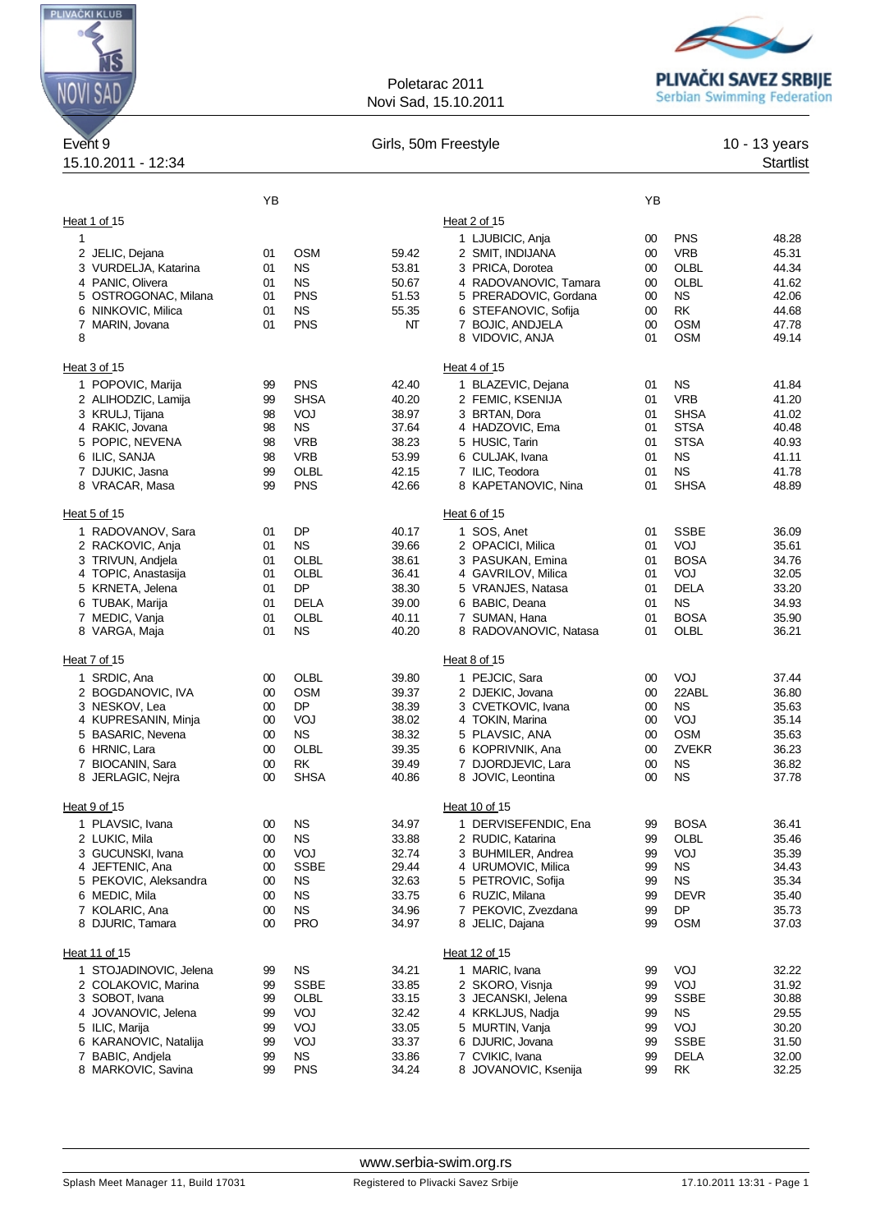

## Poletarac 2011 Novi Sad, 15.10.2011



| Event <sub>9</sub><br>15.10.2011 - 12:34 | Girls, 50m Freestyle |                   |                |                                        |          | 10 - 13 years<br><b>Startlist</b> |                |
|------------------------------------------|----------------------|-------------------|----------------|----------------------------------------|----------|-----------------------------------|----------------|
|                                          | YB                   |                   |                |                                        | YB       |                                   |                |
| Heat 1 of 15                             |                      |                   |                | Heat 2 of 15                           |          |                                   |                |
| 1                                        |                      |                   |                | 1 LJUBICIC, Anja                       | 00       | <b>PNS</b>                        | 48.28          |
| 2 JELIC, Dejana                          | 01                   | <b>OSM</b>        | 59.42          | 2 SMIT, INDIJANA                       | 00       | <b>VRB</b>                        | 45.31          |
| 3 VURDELJA, Katarina                     | 01                   | <b>NS</b>         | 53.81          | 3 PRICA, Dorotea                       | 00       | OLBL                              | 44.34          |
| 4 PANIC, Olivera                         | 01                   | <b>NS</b>         | 50.67          | 4 RADOVANOVIC, Tamara                  | $00\,$   | OLBL                              | 41.62          |
| 5 OSTROGONAC, Milana                     | 01                   | <b>PNS</b>        | 51.53          | 5 PRERADOVIC, Gordana                  | 00       | <b>NS</b>                         | 42.06          |
| 6 NINKOVIC, Milica                       | 01                   | <b>NS</b>         | 55.35          | 6 STEFANOVIC, Sofija                   | 00       | <b>RK</b>                         | 44.68          |
| 7 MARIN, Jovana                          | 01                   | <b>PNS</b>        | NΤ             | 7 BOJIC, ANDJELA                       | $00\,$   | <b>OSM</b>                        | 47.78          |
| 8                                        |                      |                   |                | 8 VIDOVIC, ANJA                        | 01       | <b>OSM</b>                        | 49.14          |
| Heat 3 of 15                             | Heat 4 of 15         |                   |                |                                        |          |                                   |                |
| 1 POPOVIC, Marija                        | 99                   | <b>PNS</b>        | 42.40          | 1 BLAZEVIC, Dejana                     | 01       | <b>NS</b>                         | 41.84          |
| 2 ALIHODZIC, Lamija                      | 99                   | <b>SHSA</b>       | 40.20          | 2 FEMIC, KSENIJA                       | 01       | <b>VRB</b>                        | 41.20          |
| 3 KRULJ, Tijana                          | 98                   | VOJ               | 38.97          | 3 BRTAN, Dora                          | 01       | <b>SHSA</b>                       | 41.02          |
| 4 RAKIC, Jovana                          | 98                   | <b>NS</b>         | 37.64          | 4 HADZOVIC, Ema                        | 01       | <b>STSA</b>                       | 40.48          |
| 5 POPIC, NEVENA                          | 98                   | <b>VRB</b>        | 38.23          | 5 HUSIC, Tarin                         | 01       | <b>STSA</b>                       | 40.93          |
| 6 ILIC, SANJA                            | 98                   | <b>VRB</b>        | 53.99          | 6 CULJAK, Ivana                        | 01       | <b>NS</b>                         | 41.11          |
| 7 DJUKIC, Jasna                          | 99                   | OLBL              | 42.15          | 7 ILIC, Teodora                        | 01       | <b>NS</b>                         | 41.78          |
| 8 VRACAR, Masa                           | 99                   | <b>PNS</b>        | 42.66          | 8 KAPETANOVIC, Nina                    | 01       | <b>SHSA</b>                       | 48.89          |
| Heat 5 of 15                             |                      |                   |                | Heat 6 of 15                           |          |                                   |                |
| 1 RADOVANOV, Sara                        | 01                   | DP                | 40.17          | 1 SOS, Anet                            | 01       | <b>SSBE</b>                       | 36.09          |
| 2 RACKOVIC, Anja                         | 01                   | <b>NS</b>         | 39.66          | 2 OPACICI, Milica                      | 01       | VOJ                               | 35.61          |
| 3 TRIVUN, Andjela                        | 01                   | OLBL              | 38.61          | 3 PASUKAN, Emina                       | 01       | <b>BOSA</b>                       | 34.76          |
| 4 TOPIC, Anastasija                      | 01                   | OLBL              | 36.41          | 4 GAVRILOV, Milica                     | 01       | VOJ                               | 32.05          |
| 5 KRNETA, Jelena                         | 01                   | DP                | 38.30          | 5 VRANJES, Natasa                      | 01       | <b>DELA</b>                       | 33.20          |
| 6 TUBAK, Marija                          | 01                   | <b>DELA</b>       | 39.00          | 6 BABIC, Deana                         | 01       | <b>NS</b><br><b>BOSA</b>          | 34.93          |
| 7 MEDIC, Vanja<br>8 VARGA, Maja          | 01<br>01             | OLBL<br><b>NS</b> | 40.11<br>40.20 | 7 SUMAN, Hana<br>8 RADOVANOVIC, Natasa | 01<br>01 | OLBL                              | 35.90<br>36.21 |
| Heat 7 of 15                             |                      |                   |                | Heat 8 of 15                           |          |                                   |                |
| 1 SRDIC, Ana                             | 00                   | OLBL              | 39.80          | 1 PEJCIC, Sara                         | 00       | VOJ                               | 37.44          |
| 2 BOGDANOVIC, IVA                        | 00                   | <b>OSM</b>        | 39.37          | 2 DJEKIC, Jovana                       | 00       | 22ABL                             | 36.80          |
| 3 NESKOV, Lea                            | 00                   | DP                | 38.39          | 3 CVETKOVIC, Ivana                     | 00       | <b>NS</b>                         | 35.63          |
| 4 KUPRESANIN, Minja                      | 00                   | VOJ               | 38.02          | 4 TOKIN, Marina                        | 00       | VOJ                               | 35.14          |
| 5 BASARIC, Nevena                        | 00                   | <b>NS</b>         | 38.32          | 5 PLAVSIC, ANA                         | $00\,$   | <b>OSM</b>                        | 35.63          |
| 6 HRNIC, Lara                            | 00                   | OLBL              | 39.35          | 6 KOPRIVNIK, Ana                       | 00       | <b>ZVEKR</b>                      | 36.23          |
| 7 BIOCANIN, Sara                         | 00                   | <b>RK</b>         | 39.49          | 7 DJORDJEVIC, Lara                     | $00\,$   | <b>NS</b>                         | 36.82          |
| 8 JERLAGIC, Nejra                        | 00                   | SHSA              | 40.86          | 8 JOVIC, Leontina                      | $00\,$   | <b>NS</b>                         | 37.78          |
| Heat 9 of 15                             |                      |                   |                | Heat 10 of 15                          |          |                                   |                |
| 1 PLAVSIC, Ivana                         | 00                   | <b>NS</b>         | 34.97          | 1 DERVISEFENDIC, Ena                   | 99       | <b>BOSA</b>                       | 36.41          |
| 2 LUKIC, Mila                            | 00                   | <b>NS</b>         | 33.88          | 2 RUDIC, Katarina                      | 99       | OLBL                              | 35.46          |
| 3 GUCUNSKI, Ivana                        | 00                   | VOJ               | 32.74          | 3 BUHMILER, Andrea                     | 99       | VOJ                               | 35.39          |
| 4 JEFTENIC, Ana                          | 00                   | <b>SSBE</b>       | 29.44          | 4 URUMOVIC, Milica                     | 99       | NS.                               | 34.43          |
| 5 PEKOVIC, Aleksandra                    | 00                   | <b>NS</b>         | 32.63          | 5 PETROVIC, Sofija                     | 99       | <b>NS</b>                         | 35.34          |
| 6 MEDIC, Mila                            | 00                   | <b>NS</b>         | 33.75          | 6 RUZIC, Milana                        | 99       | <b>DEVR</b>                       | 35.40          |
| 7 KOLARIC, Ana                           | $00\,$               | <b>NS</b>         | 34.96          | 7 PEKOVIC, Zvezdana                    | 99       | <b>DP</b>                         | 35.73          |
| 8 DJURIC, Tamara                         | $00\,$               | <b>PRO</b>        | 34.97          | 8 JELIC, Dajana                        | 99       | <b>OSM</b>                        | 37.03          |
| Heat 11 of 15                            | Heat 12 of 15        |                   |                |                                        |          |                                   |                |
| 1 STOJADINOVIC, Jelena                   | 99                   | <b>NS</b>         | 34.21          | 1 MARIC, Ivana                         | 99       | VOJ                               | 32.22          |
| 2 COLAKOVIC, Marina                      | 99                   | <b>SSBE</b>       | 33.85          | 2 SKORO, Visnja                        | 99       | VOJ                               | 31.92          |
| 3 SOBOT, Ivana                           | 99                   | OLBL              | 33.15          | 3 JECANSKI, Jelena                     | 99       | <b>SSBE</b>                       | 30.88          |
| 4 JOVANOVIC, Jelena                      | 99                   | VOJ               | 32.42          | 4 KRKLJUS, Nadja                       | 99       | <b>NS</b>                         | 29.55          |
| 5 ILIC, Marija                           | 99                   | VOJ               | 33.05          | 5 MURTIN, Vanja                        | 99       | VOJ                               | 30.20          |
| 6 KARANOVIC, Natalija                    | 99                   | VOJ               | 33.37          | 6 DJURIC, Jovana                       | 99       | <b>SSBE</b>                       | 31.50          |
| 7 BABIC, Andjela                         | 99                   | <b>NS</b>         | 33.86          | 7 CVIKIC, Ivana                        | 99       | <b>DELA</b>                       | 32.00          |
| 8 MARKOVIC, Savina                       | 99                   | <b>PNS</b>        | 34.24          | 8 JOVANOVIC, Ksenija                   | 99       | <b>RK</b>                         | 32.25          |

<www.serbia-swim.org.rs>